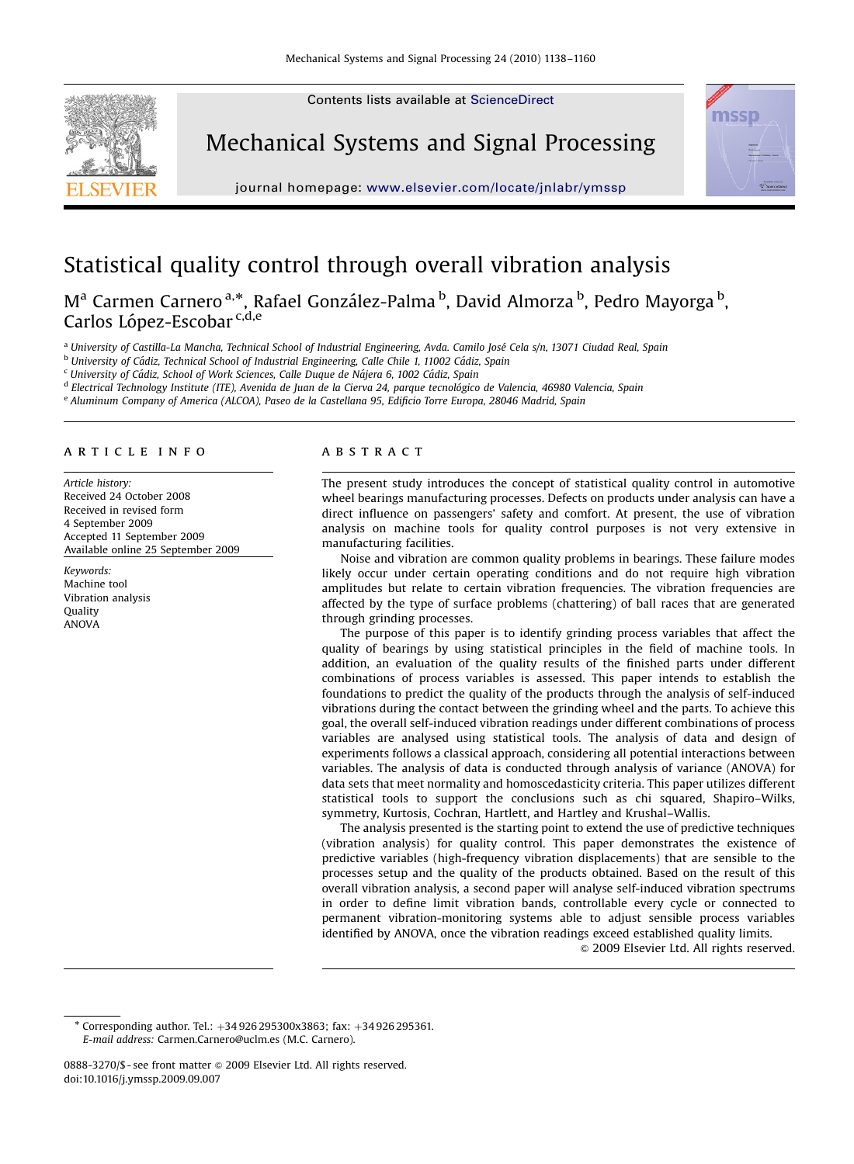Contents lists available at ScienceDirect



Mechanical Systems and Signal Processing



journal homepage: <www.elsevier.com/locate/jnlabr/ymssp>

## Statistical quality control through overall vibration analysis

M<sup>a</sup> Carmen Carnero <sup>a,</sup>\*, Rafael González-Palma <sup>b</sup>, David Almorza <sup>b</sup>, Pedro Mayorga <sup>b</sup>, Carlos López-Escobar <sup>c,d,e</sup>

<sup>a</sup> University of Castilla-La Mancha, Technical School of Industrial Engineering, Avda. Camilo José Cela s/n, 13071 Ciudad Real, Spain

<sup>b</sup> University of Cádiz, Technical School of Industrial Engineering, Calle Chile 1, 11002 Cádiz, Spain

<sup>c</sup> University of Cádiz, School of Work Sciences, Calle Duque de Nájera 6, 1002 Cádiz, Spain

<sup>d</sup> Electrical Technology Institute (ITE), Avenida de Juan de la Cierva 24, parque tecnológico de Valencia, 46980 Valencia, Spain

<sup>e</sup> Aluminum Company of America (ALCOA), Paseo de la Castellana 95, Edificio Torre Europa, 28046 Madrid, Spain

### article info

Article history: Received 24 October 2008 Received in revised form 4 September 2009 Accepted 11 September 2009 Available online 25 September 2009

Keywords: Machine tool Vibration analysis **Ouality** ANOVA

#### **ABSTRACT**

The present study introduces the concept of statistical quality control in automotive wheel bearings manufacturing processes. Defects on products under analysis can have a direct influence on passengers' safety and comfort. At present, the use of vibration analysis on machine tools for quality control purposes is not very extensive in manufacturing facilities.

Noise and vibration are common quality problems in bearings. These failure modes likely occur under certain operating conditions and do not require high vibration amplitudes but relate to certain vibration frequencies. The vibration frequencies are affected by the type of surface problems (chattering) of ball races that are generated through grinding processes.

The purpose of this paper is to identify grinding process variables that affect the quality of bearings by using statistical principles in the field of machine tools. In addition, an evaluation of the quality results of the finished parts under different combinations of process variables is assessed. This paper intends to establish the foundations to predict the quality of the products through the analysis of self-induced vibrations during the contact between the grinding wheel and the parts. To achieve this goal, the overall self-induced vibration readings under different combinations of process variables are analysed using statistical tools. The analysis of data and design of experiments follows a classical approach, considering all potential interactions between variables. The analysis of data is conducted through analysis of variance (ANOVA) for data sets that meet normality and homoscedasticity criteria. This paper utilizes different statistical tools to support the conclusions such as chi squared, Shapiro–Wilks, symmetry, Kurtosis, Cochran, Hartlett, and Hartley and Krushal–Wallis.

The analysis presented is the starting point to extend the use of predictive techniques (vibration analysis) for quality control. This paper demonstrates the existence of predictive variables (high-frequency vibration displacements) that are sensible to the processes setup and the quality of the products obtained. Based on the result of this overall vibration analysis, a second paper will analyse self-induced vibration spectrums in order to define limit vibration bands, controllable every cycle or connected to permanent vibration-monitoring systems able to adjust sensible process variables identified by ANOVA, once the vibration readings exceed established quality limits.

 $\odot$  2009 Elsevier Ltd. All rights reserved.

<sup>\*</sup> Corresponding author. Tel.: +34 926 295300x3863; fax: +34 926 295361. E-mail address: [Carmen.Carnero@uclm.es \(M.C. Carnero\)](mailto:Carmen.Carnero@uclm.es).

<sup>0888-3270/\$ -</sup> see front matter  $\circ$  2009 Elsevier Ltd. All rights reserved. doi:[10.1016/j.ymssp.2009.09.007](dx.doi.org/10.1016/j.ymssp.2009.09.007)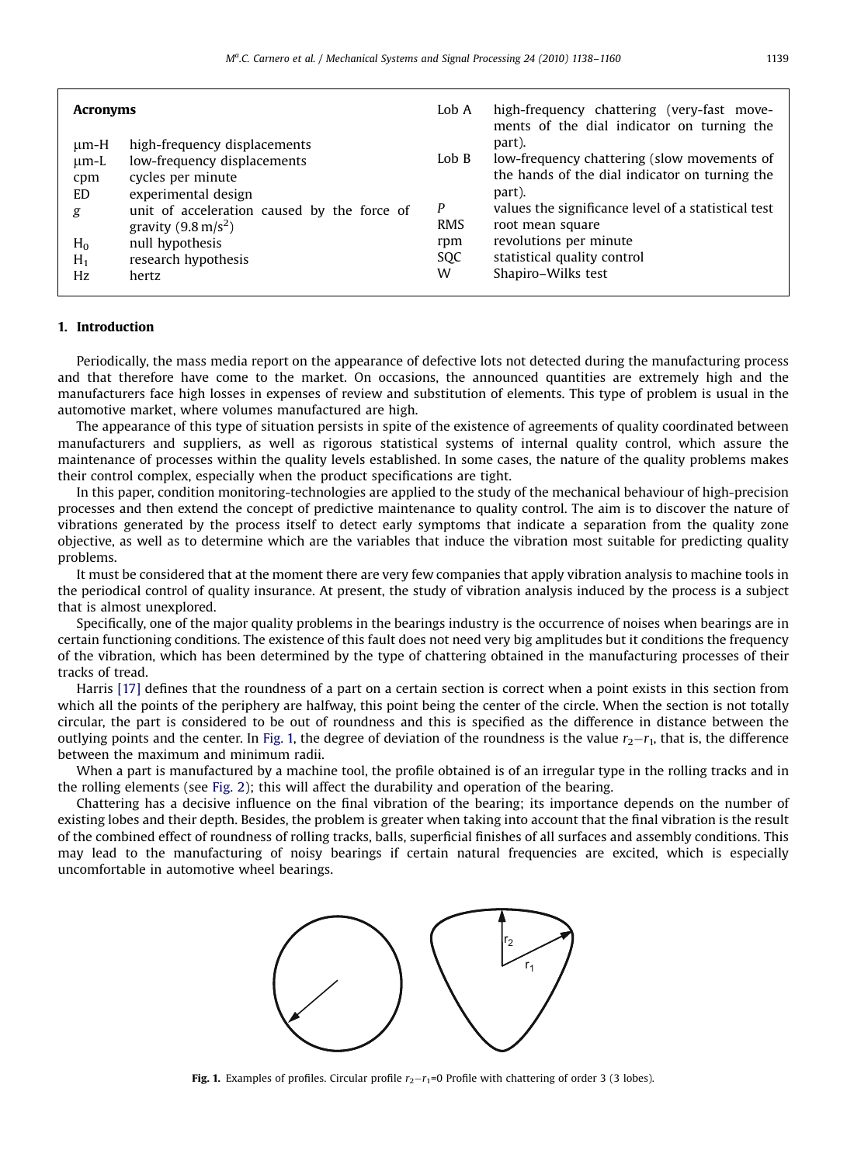|                                                                                                                                                                                                                                                                                                                                                                     | high-frequency chattering (very-fast move-<br>ments of the dial indicator on turning the                                                                                                                                                                                    |
|---------------------------------------------------------------------------------------------------------------------------------------------------------------------------------------------------------------------------------------------------------------------------------------------------------------------------------------------------------------------|-----------------------------------------------------------------------------------------------------------------------------------------------------------------------------------------------------------------------------------------------------------------------------|
| high-frequency displacements<br>um-H<br>Lob <sub>B</sub><br>low-frequency displacements<br>$\mu$ m-L<br>cycles per minute<br>cpm<br>experimental design<br>ED<br>P<br>unit of acceleration caused by the force of<br>g<br><b>RMS</b><br>gravity $(9.8 \text{ m/s}^2)$<br>null hypothesis<br>rpm<br>$H_0$<br>SQC<br>research hypothesis<br>$H_1$<br>W<br>Hz<br>hertz | part).<br>low-frequency chattering (slow movements of<br>the hands of the dial indicator on turning the<br>part).<br>values the significance level of a statistical test<br>root mean square<br>revolutions per minute<br>statistical quality control<br>Shapiro-Wilks test |

#### 1. Introduction

Periodically, the mass media report on the appearance of defective lots not detected during the manufacturing process and that therefore have come to the market. On occasions, the announced quantities are extremely high and the manufacturers face high losses in expenses of review and substitution of elements. This type of problem is usual in the automotive market, where volumes manufactured are high.

The appearance of this type of situation persists in spite of the existence of agreements of quality coordinated between manufacturers and suppliers, as well as rigorous statistical systems of internal quality control, which assure the maintenance of processes within the quality levels established. In some cases, the nature of the quality problems makes their control complex, especially when the product specifications are tight.

In this paper, condition monitoring-technologies are applied to the study of the mechanical behaviour of high-precision processes and then extend the concept of predictive maintenance to quality control. The aim is to discover the nature of vibrations generated by the process itself to detect early symptoms that indicate a separation from the quality zone objective, as well as to determine which are the variables that induce the vibration most suitable for predicting quality problems.

It must be considered that at the moment there are very few companies that apply vibration analysis to machine tools in the periodical control of quality insurance. At present, the study of vibration analysis induced by the process is a subject that is almost unexplored.

Specifically, one of the major quality problems in the bearings industry is the occurrence of noises when bearings are in certain functioning conditions. The existence of this fault does not need very big amplitudes but it conditions the frequency of the vibration, which has been determined by the type of chattering obtained in the manufacturing processes of their tracks of tread.

Harris [\[17\]](#page--1-0) defines that the roundness of a part on a certain section is correct when a point exists in this section from which all the points of the periphery are halfway, this point being the center of the circle. When the section is not totally circular, the part is considered to be out of roundness and this is specified as the difference in distance between the outlying points and the center. In Fig. 1, the degree of deviation of the roundness is the value  $r_2-r_1$ , that is, the difference between the maximum and minimum radii.

When a part is manufactured by a machine tool, the profile obtained is of an irregular type in the rolling tracks and in the rolling elements (see [Fig. 2](#page--1-0)); this will affect the durability and operation of the bearing.

Chattering has a decisive influence on the final vibration of the bearing; its importance depends on the number of existing lobes and their depth. Besides, the problem is greater when taking into account that the final vibration is the result of the combined effect of roundness of rolling tracks, balls, superficial finishes of all surfaces and assembly conditions. This may lead to the manufacturing of noisy bearings if certain natural frequencies are excited, which is especially uncomfortable in automotive wheel bearings.



**Fig. 1.** Examples of profiles. Circular profile  $r_2-r_1=0$  Profile with chattering of order 3 (3 lobes).